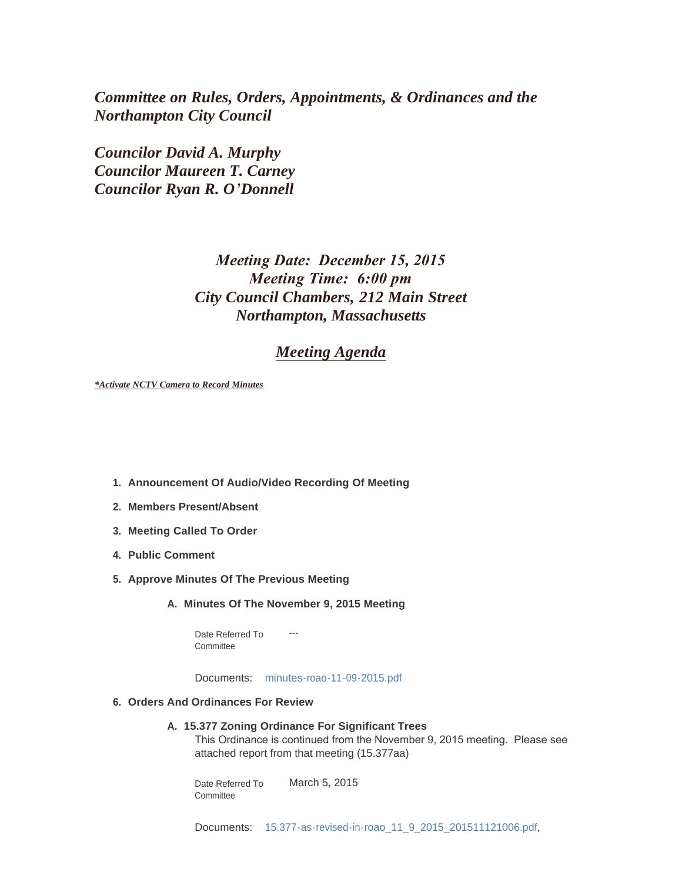*Committee on Rules, Orders, Appointments, & Ordinances and the Northampton City Council*

*Councilor David A. Murphy Councilor Maureen T. Carney Councilor Ryan R. O'Donnell*

# *Meeting Date: December 15, 2015 Meeting Time: 6:00 pm City Council Chambers, 212 Main Street Northampton, Massachusetts*

# *Meeting Agenda*

*\*Activate NCTV Camera to Record Minutes*

- **Announcement Of Audio/Video Recording Of Meeting 1.**
- **Members Present/Absent 2.**
- **Meeting Called To Order 3.**
- **Public Comment 4.**
- **Approve Minutes Of The Previous Meeting 5.**
	- **Minutes Of The November 9, 2015 Meeting A.**

--- Date Referred To **Committee** 

Documents: [minutes-roao-11-09-2015.pdf](http://northamptonma.gov/AgendaCenter/ViewFile/Item/2864?fileID=52796)

- **Orders And Ordinances For Review 6.**
	- **15.377 Zoning Ordinance For Significant Trees A.**

This Ordinance is continued from the November 9, 2015 meeting. Please see attached report from that meeting (15.377aa)

March 5, 2015 Date Referred To Committee

Documents: [15.377-as-revised-in-roao\\_11\\_9\\_2015\\_201511121006.pdf](http://northamptonma.gov/AgendaCenter/ViewFile/Item/2866?fileID=52797),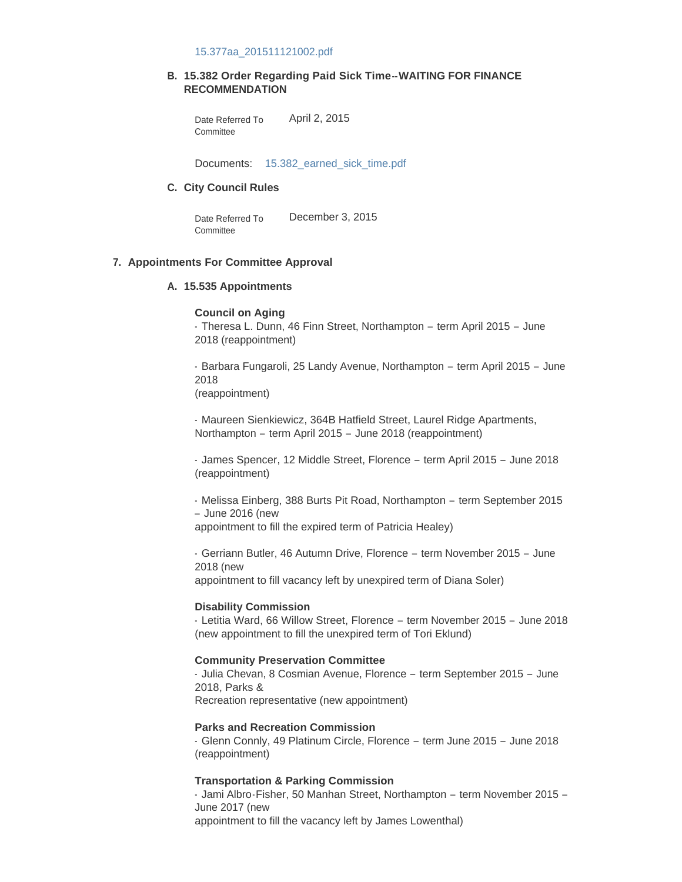#### 15.377aa\_201511121002.pdf

### **15.382 Order Regarding Paid Sick Time--WAITING FOR FINANCE B. RECOMMENDATION**

April 2, 2015 Date Referred To **Committee** 

Documents: [15.382\\_earned\\_sick\\_time.pdf](http://northamptonma.gov/AgendaCenter/ViewFile/Item/2867?fileID=52799)

#### **City Council Rules C.**

December 3, 2015 Date Referred To **Committee** 

#### **Appointments For Committee Approval 7.**

### **15.535 Appointments A.**

## **Council on Aging**

- Theresa L. Dunn, 46 Finn Street, Northampton – term April 2015 – June 2018 (reappointment)

- Barbara Fungaroli, 25 Landy Avenue, Northampton – term April 2015 – June 2018

(reappointment)

- Maureen Sienkiewicz, 364B Hatfield Street, Laurel Ridge Apartments, Northampton – term April 2015 – June 2018 (reappointment)

- James Spencer, 12 Middle Street, Florence – term April 2015 – June 2018 (reappointment)

- Melissa Einberg, 388 Burts Pit Road, Northampton – term September 2015 – June 2016 (new appointment to fill the expired term of Patricia Healey)

- Gerriann Butler, 46 Autumn Drive, Florence – term November 2015 – June 2018 (new appointment to fill vacancy left by unexpired term of Diana Soler)

### **Disability Commission**

- Letitia Ward, 66 Willow Street, Florence – term November 2015 – June 2018 (new appointment to fill the unexpired term of Tori Eklund)

## **Community Preservation Committee**

- Julia Chevan, 8 Cosmian Avenue, Florence – term September 2015 – June 2018, Parks & Recreation representative (new appointment)

## **Parks and Recreation Commission**

- Glenn Connly, 49 Platinum Circle, Florence – term June 2015 – June 2018 (reappointment)

## **Transportation & Parking Commission**

- Jami Albro-Fisher, 50 Manhan Street, Northampton – term November 2015 – June 2017 (new appointment to fill the vacancy left by James Lowenthal)